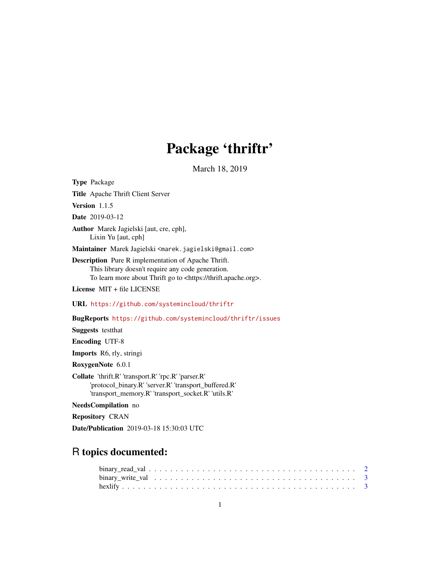# Package 'thriftr'

March 18, 2019

<span id="page-0-0"></span>

| <b>Type Package</b>                                                                                                                                                                         |
|---------------------------------------------------------------------------------------------------------------------------------------------------------------------------------------------|
| Title Apache Thrift Client Server                                                                                                                                                           |
| <b>Version</b> $1.1.5$                                                                                                                                                                      |
| <b>Date</b> 2019-03-12                                                                                                                                                                      |
| <b>Author</b> Marek Jagielski [aut, cre, cph],<br>Lixin Yu [aut, cph]                                                                                                                       |
| Maintainer Marek Jagielski <marek.jagielski@gmail.com></marek.jagielski@gmail.com>                                                                                                          |
| <b>Description</b> Pure R implementation of Apache Thrift.<br>This library doesn't require any code generation.<br>To learn more about Thrift go to <https: thrift.apache.org="">.</https:> |
| License MIT + file LICENSE                                                                                                                                                                  |
| URL https://github.com/systemincloud/thriftr                                                                                                                                                |
| BugReports https://github.com/systemincloud/thriftr/issues                                                                                                                                  |
| <b>Suggests</b> test that                                                                                                                                                                   |
| <b>Encoding UTF-8</b>                                                                                                                                                                       |
| <b>Imports</b> R6, rly, stringi                                                                                                                                                             |
| RoxygenNote 6.0.1                                                                                                                                                                           |
| Collate 'thrift.R' 'transport.R' 'rpc.R' 'parser.R'<br>'protocol_binary.R' 'server.R' 'transport_buffered.R'<br>'transport_memory.R' 'transport_socket.R' 'utils.R'                         |
| NeedsCompilation no                                                                                                                                                                         |
| <b>Repository CRAN</b>                                                                                                                                                                      |

Date/Publication 2019-03-18 15:30:03 UTC

## R topics documented: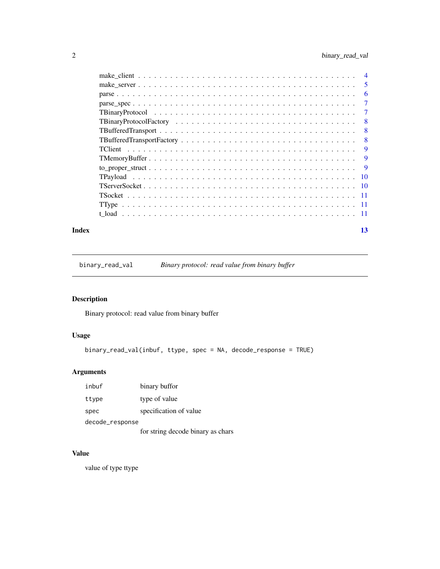<span id="page-1-0"></span>

|       | -5       |
|-------|----------|
|       | 6        |
|       | -7       |
|       | -7       |
|       | - 8      |
|       | $-8$     |
|       | - 8      |
|       | <b>9</b> |
|       | 9        |
|       |          |
|       |          |
|       |          |
|       |          |
|       |          |
|       |          |
| Index | 13       |

binary\_read\_val *Binary protocol: read value from binary buffer*

#### Description

Binary protocol: read value from binary buffer

#### Usage

```
binary_read_val(inbuf, ttype, spec = NA, decode_response = TRUE)
```
#### Arguments

| inbuf           | binary buffor          |  |  |  |  |
|-----------------|------------------------|--|--|--|--|
| ttype           | type of value          |  |  |  |  |
| spec            | specification of value |  |  |  |  |
| decode_response |                        |  |  |  |  |

for string decode binary as chars

#### Value

value of type ttype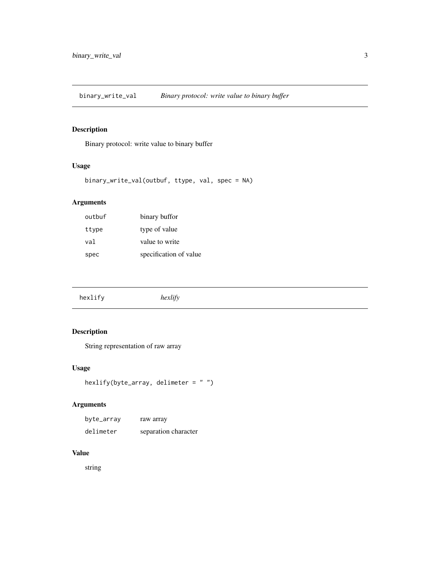<span id="page-2-0"></span>binary\_write\_val *Binary protocol: write value to binary buffer*

#### Description

Binary protocol: write value to binary buffer

#### Usage

binary\_write\_val(outbuf, ttype, val, spec = NA)

#### Arguments

| outbuf | binary buffor          |
|--------|------------------------|
| ttype  | type of value          |
| val    | value to write         |
| spec   | specification of value |

### Description

String representation of raw array

#### Usage

```
hexlify(byte_array, delimeter = " ")
```
#### Arguments

| byte_array | raw array            |
|------------|----------------------|
| delimeter  | separation character |

#### Value

string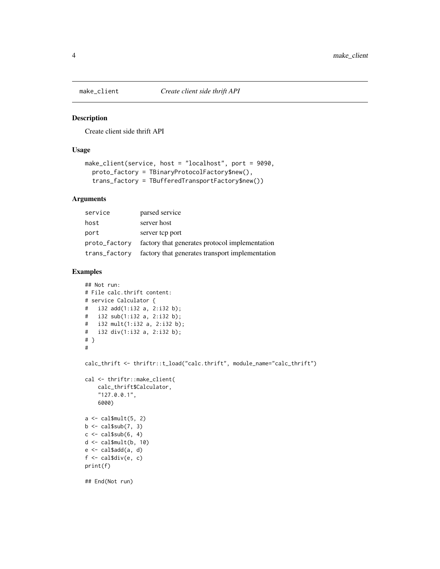<span id="page-3-0"></span>

#### Description

Create client side thrift API

#### Usage

```
make_client(service, host = "localhost", port = 9090,
  proto_factory = TBinaryProtocolFactory$new(),
  trans_factory = TBufferedTransportFactory$new())
```
#### Arguments

| service       | parsed service                                  |
|---------------|-------------------------------------------------|
| host          | server host                                     |
| port          | server top port                                 |
| proto_factory | factory that generates protocol implementation  |
| trans_factory | factory that generates transport implementation |

#### Examples

```
## Not run:
# File calc.thrift content:
# service Calculator {
# i32 add(1:i32 a, 2:i32 b);
# i32 sub(1:i32 a, 2:i32 b);
# i32 mult(1:i32 a, 2:i32 b);
# i32 div(1:i32 a, 2:i32 b);
# }
#
calc_thrift <- thriftr::t_load("calc.thrift", module_name="calc_thrift")
cal <- thriftr::make_client(
    calc_thrift$Calculator,
    "127.0.0.1",
    6000)
a \leftarrow \text{cal$small}(5, 2)b \leq cal\frac{1}{2}sub(7, 3)c \leftarrow \text{cal$}sub(6, 4)d \leq - \text{cal$small}(b, 10)e <- cal$add(a, d)
f <- cal$div(e, c)
print(f)
## End(Not run)
```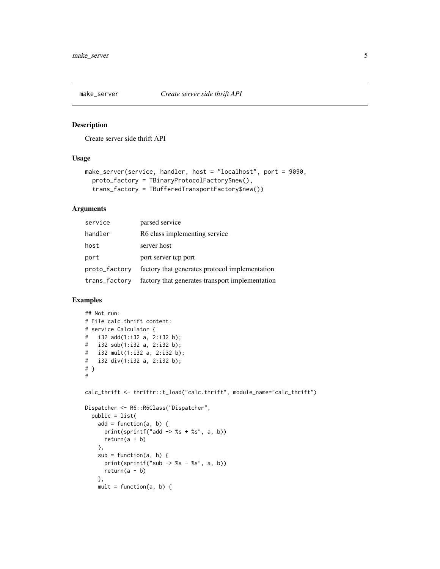<span id="page-4-0"></span>

#### Description

Create server side thrift API

#### Usage

```
make_server(service, handler, host = "localhost", port = 9090,
 proto_factory = TBinaryProtocolFactory$new(),
  trans_factory = TBufferedTransportFactory$new())
```
#### Arguments

| service       | parsed service                                  |
|---------------|-------------------------------------------------|
| handler       | R6 class implementing service                   |
| host          | server host                                     |
| port          | port server top port                            |
| proto_factory | factory that generates protocol implementation  |
| trans_factory | factory that generates transport implementation |

#### Examples

```
## Not run:
# File calc.thrift content:
# service Calculator {
# i32 add(1:i32 a, 2:i32 b);
# i32 sub(1:i32 a, 2:i32 b);
# i32 mult(1:i32 a, 2:i32 b);
# i32 div(1:i32 a, 2:i32 b);
# }
#
calc_thrift <- thriftr::t_load("calc.thrift", module_name="calc_thrift")
Dispatcher <- R6::R6Class("Dispatcher",
  public = list(
   add = function(a, b) {
      print(sprintf("add \rightarrow %s + %s", a, b))
      return(a + b)},
    sub = function(a, b) {
      print(sprintf("sub \rightarrow %s - %s", a, b))
     return(a - b)
   },
   mult = function(a, b) {
```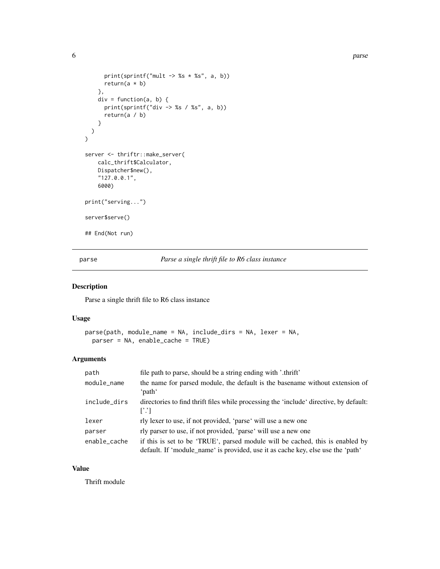```
print(sprintf("mult \rightarrow %s * %s", a, b))
      return(a * b)},
    div = function(a, b) {
      print(sprintf("div -> %s / %s", a, b))
      return(a / b)
    }
 )
\overline{)}server <- thriftr::make_server(
    calc_thrift$Calculator,
    Dispatcher$new(),
    "127.0.0.1",
    6000)
print("serving...")
server$serve()
## End(Not run)
```
parse *Parse a single thrift file to R6 class instance*

#### Description

Parse a single thrift file to R6 class instance

#### Usage

```
parse(path, module_name = NA, include_dirs = NA, lexer = NA,
 parser = NA, enable_cache = TRUE)
```
#### Arguments

| path         | file path to parse, should be a string ending with '.thrift'                                                                                                     |
|--------------|------------------------------------------------------------------------------------------------------------------------------------------------------------------|
| module_name  | the name for parsed module, the default is the basename without extension of<br>ʻpathʻ                                                                           |
| include_dirs | directories to find thrift files while processing the 'include' directive, by default:<br>$\Gamma$ .'T                                                           |
| lexer        | rly lexer to use, if not provided, 'parse' will use a new one                                                                                                    |
| parser       | rly parser to use, if not provided, 'parse' will use a new one                                                                                                   |
| enable_cache | if this is set to be 'TRUE', parsed module will be cached, this is enabled by<br>default. If 'module_name' is provided, use it as cache key, else use the 'path' |

#### Value

Thrift module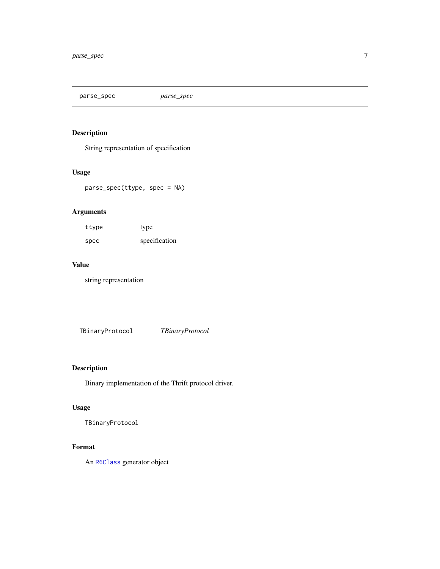<span id="page-6-0"></span>parse\_spec *parse\_spec*

#### Description

String representation of specification

#### Usage

parse\_spec(ttype, spec = NA)

#### Arguments

| ttype | type          |
|-------|---------------|
| spec  | specification |

#### Value

string representation

TBinaryProtocol *TBinaryProtocol*

### Description

Binary implementation of the Thrift protocol driver.

#### Usage

TBinaryProtocol

#### Format

An [R6Class](#page-0-0) generator object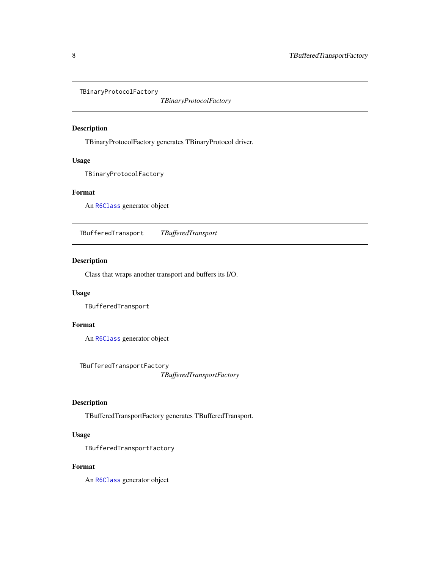<span id="page-7-0"></span>TBinaryProtocolFactory

*TBinaryProtocolFactory*

#### Description

TBinaryProtocolFactory generates TBinaryProtocol driver.

#### Usage

TBinaryProtocolFactory

#### Format

An [R6Class](#page-0-0) generator object

TBufferedTransport *TBufferedTransport*

#### Description

Class that wraps another transport and buffers its I/O.

#### Usage

TBufferedTransport

#### Format

An [R6Class](#page-0-0) generator object

TBufferedTransportFactory

*TBufferedTransportFactory*

#### Description

TBufferedTransportFactory generates TBufferedTransport.

#### Usage

TBufferedTransportFactory

#### Format

An [R6Class](#page-0-0) generator object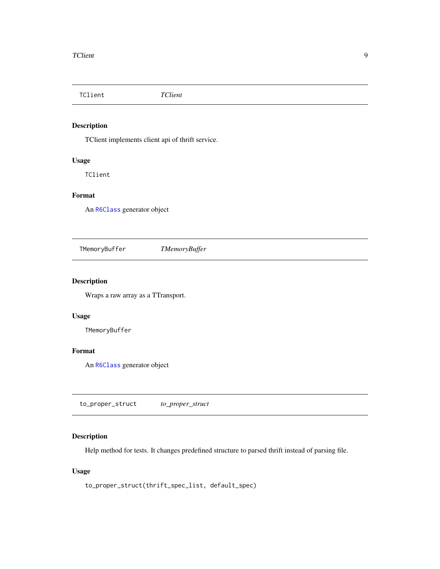<span id="page-8-0"></span>TClient *TClient*

#### Description

TClient implements client api of thrift service.

#### Usage

TClient

#### Format

An [R6Class](#page-0-0) generator object

TMemoryBuffer *TMemoryBuffer*

#### Description

Wraps a raw array as a TTransport.

#### Usage

TMemoryBuffer

#### Format

An [R6Class](#page-0-0) generator object

to\_proper\_struct *to\_proper\_struct*

#### Description

Help method for tests. It changes predefined structure to parsed thrift instead of parsing file.

#### Usage

```
to_proper_struct(thrift_spec_list, default_spec)
```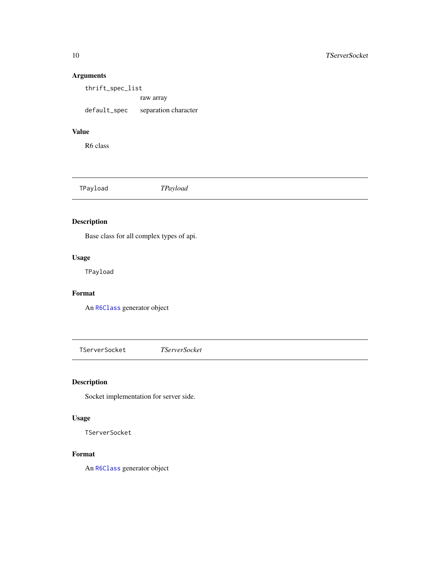#### Arguments

thrift\_spec\_list raw array default\_spec separation character

#### Value

R6 class

TPayload *TPayload*

#### Description

Base class for all complex types of api.

#### Usage

TPayload

#### Format

An [R6Class](#page-0-0) generator object

TServerSocket *TServerSocket*

#### Description

Socket implementation for server side.

#### Usage

TServerSocket

#### Format

An [R6Class](#page-0-0) generator object

<span id="page-9-0"></span>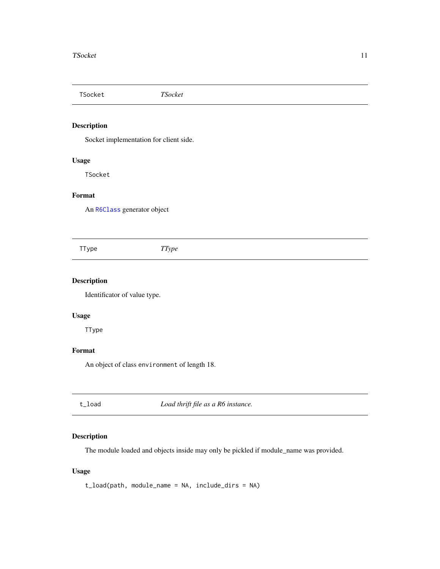<span id="page-10-0"></span>TSocket *TSocket*

#### Description

Socket implementation for client side.

#### Usage

TSocket

#### Format

An [R6Class](#page-0-0) generator object

TType *TType*

#### Description

Identificator of value type.

#### Usage

TType

#### Format

An object of class environment of length 18.

t\_load *Load thrift file as a R6 instance.*

#### Description

The module loaded and objects inside may only be pickled if module\_name was provided.

#### Usage

```
t_load(path, module_name = NA, include_dirs = NA)
```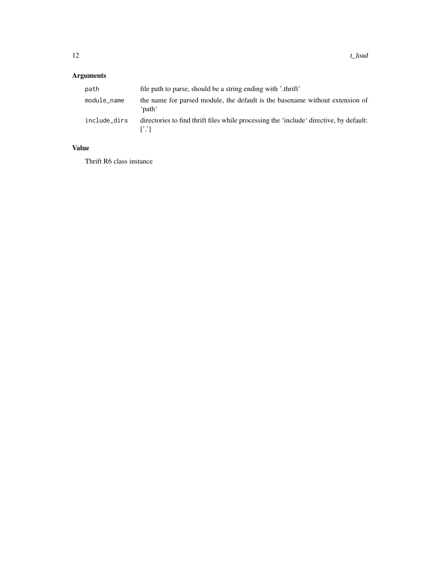### Arguments

| path         | file path to parse, should be a string ending with '.thrift'                                  |
|--------------|-----------------------------------------------------------------------------------------------|
| module_name  | the name for parsed module, the default is the basename without extension of<br>ʻnathʻ        |
| include_dirs | directories to find thrift files while processing the 'include' directive, by default:<br>F.T |

#### Value

Thrift R6 class instance